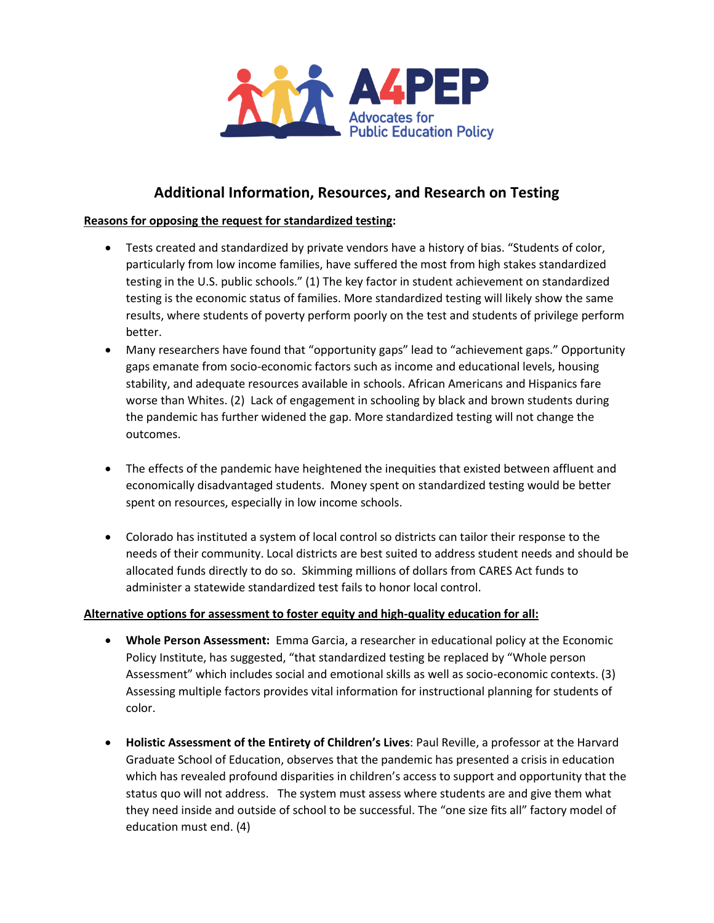

## **Additional Information, Resources, and Research on Testing**

## **Reasons for opposing the request for standardized testing:**

- Tests created and standardized by private vendors have a history of bias. "Students of color, particularly from low income families, have suffered the most from high stakes standardized testing in the U.S. public schools." (1) The key factor in student achievement on standardized testing is the economic status of families. More standardized testing will likely show the same results, where students of poverty perform poorly on the test and students of privilege perform better.
- Many researchers have found that "opportunity gaps" lead to "achievement gaps." Opportunity gaps emanate from socio-economic factors such as income and educational levels, housing stability, and adequate resources available in schools. African Americans and Hispanics fare worse than Whites. (2) Lack of engagement in schooling by black and brown students during the pandemic has further widened the gap. More standardized testing will not change the outcomes.
- The effects of the pandemic have heightened the inequities that existed between affluent and economically disadvantaged students. Money spent on standardized testing would be better spent on resources, especially in low income schools.
- Colorado has instituted a system of local control so districts can tailor their response to the needs of their community. Local districts are best suited to address student needs and should be allocated funds directly to do so. Skimming millions of dollars from CARES Act funds to administer a statewide standardized test fails to honor local control.

## **Alternative options for assessment to foster equity and high-quality education for all:**

- **Whole Person Assessment:** Emma Garcia, a researcher in educational policy at the Economic Policy Institute, has suggested, "that standardized testing be replaced by "Whole person Assessment" which includes social and emotional skills as well as socio-economic contexts. (3) Assessing multiple factors provides vital information for instructional planning for students of color.
- **Holistic Assessment of the Entirety of Children's Lives**: Paul Reville, a professor at the Harvard Graduate School of Education, observes that the pandemic has presented a crisis in education which has revealed profound disparities in children's access to support and opportunity that the status quo will not address. The system must assess where students are and give them what they need inside and outside of school to be successful. The "one size fits all" factory model of education must end. (4)